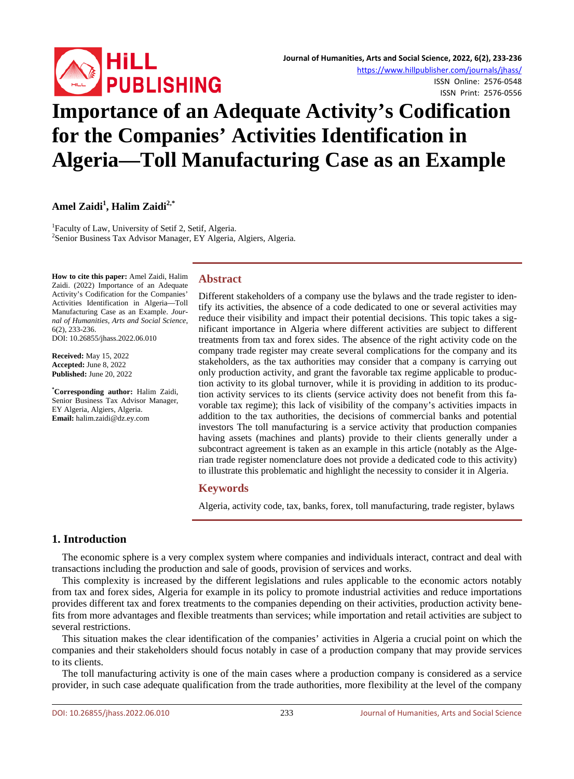

ISSN Online: 2576-0548 ISSN Print: 2576-0556

# **Importance of an Adequate Activity's Codification for the Companies' Activities Identification in Algeria—Toll Manufacturing Case as an Example**

# **Amel Zaidi1 , Halim Zaidi2,\***

<sup>1</sup> Faculty of Law, University of Setif 2, Setif, Algeria. <sup>2</sup> Senior Business Tax Advisor Manager, EY Algeria, Algiers, Algeria.

**How to cite this paper:** Amel Zaidi, Halim Zaidi. (2022) Importance of an Adequate Activity's Codification for the Companies' Activities Identification in Algeria—Toll Manufacturing Case as an Example. *Journal of Humanities, Arts and Social Science*, 6(2), 233-236. DOI: 10.26855/jhass.2022.06.010

**Received:** May 15, 2022 **Accepted:** June 8, 2022 **Published:** June 20, 2022

**\* Corresponding author:** Halim Zaidi, Senior Business Tax Advisor Manager, EY Algeria, Algiers, Algeria. **Email:** halim.zaidi@dz.ey.com

## **Abstract**

Different stakeholders of a company use the bylaws and the trade register to identify its activities, the absence of a code dedicated to one or several activities may reduce their visibility and impact their potential decisions. This topic takes a significant importance in Algeria where different activities are subject to different treatments from tax and forex sides. The absence of the right activity code on the company trade register may create several complications for the company and its stakeholders, as the tax authorities may consider that a company is carrying out only production activity, and grant the favorable tax regime applicable to production activity to its global turnover, while it is providing in addition to its production activity services to its clients (service activity does not benefit from this favorable tax regime); this lack of visibility of the company's activities impacts in addition to the tax authorities, the decisions of commercial banks and potential investors The toll manufacturing is a service activity that production companies having assets (machines and plants) provide to their clients generally under a subcontract agreement is taken as an example in this article (notably as the Algerian trade register nomenclature does not provide a dedicated code to this activity) to illustrate this problematic and highlight the necessity to consider it in Algeria.

## **Keywords**

Algeria, activity code, tax, banks, forex, toll manufacturing, trade register, bylaws

# **1. Introduction**

The economic sphere is a very complex system where companies and individuals interact, contract and deal with transactions including the production and sale of goods, provision of services and works.

This complexity is increased by the different legislations and rules applicable to the economic actors notably from tax and forex sides, Algeria for example in its policy to promote industrial activities and reduce importations provides different tax and forex treatments to the companies depending on their activities, production activity benefits from more advantages and flexible treatments than services; while importation and retail activities are subject to several restrictions.

This situation makes the clear identification of the companies' activities in Algeria a crucial point on which the companies and their stakeholders should focus notably in case of a production company that may provide services to its clients.

The toll manufacturing activity is one of the main cases where a production company is considered as a service provider, in such case adequate qualification from the trade authorities, more flexibility at the level of the company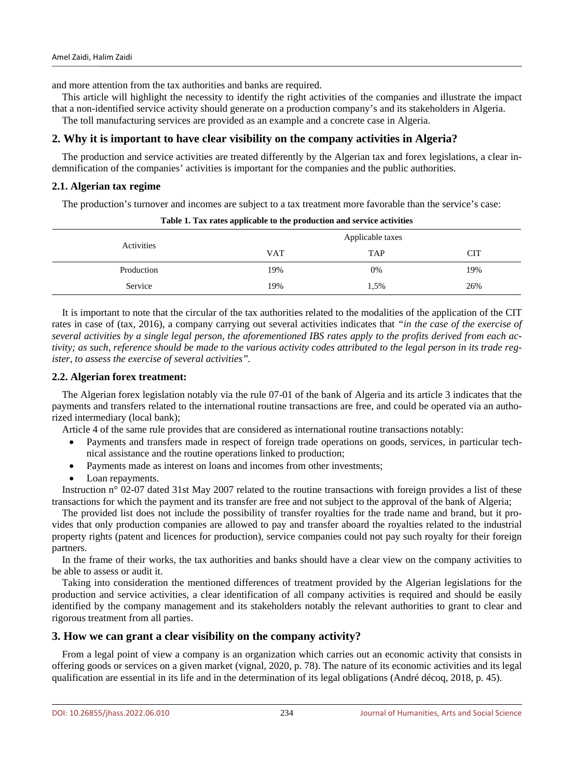and more attention from the tax authorities and banks are required.

This article will highlight the necessity to identify the right activities of the companies and illustrate the impact that a non-identified service activity should generate on a production company's and its stakeholders in Algeria.

The toll manufacturing services are provided as an example and a concrete case in Algeria.

# **2. Why it is important to have clear visibility on the company activities in Algeria?**

The production and service activities are treated differently by the Algerian tax and forex legislations, a clear indemnification of the companies' activities is important for the companies and the public authorities.

## **2.1. Algerian tax regime**

The production's turnover and incomes are subject to a tax treatment more favorable than the service's case:

| Activities | Applicable taxes |            |     |
|------------|------------------|------------|-----|
|            | <b>VAT</b>       | <b>TAP</b> | CIT |
| Production | 19%              | 0%         | 19% |
| Service    | 19%              | 1,5%       | 26% |

**Table 1. Tax rates applicable to the production and service activities**

It is important to note that the circular of the tax authorities related to the modalities of the application of the CIT rates in case of (tax, 2016), a company carrying out several activities indicates that *"in the case of the exercise of*  several activities by a single legal person, the aforementioned IBS rates apply to the profits derived from each ac*tivity; as such, reference should be made to the various activity codes attributed to the legal person in its trade register, to assess the exercise of several activities".*

## **2.2. Algerian forex treatment:**

The Algerian forex legislation notably via the rule 07-01 of the bank of Algeria and its article 3 indicates that the payments and transfers related to the international routine transactions are free, and could be operated via an authorized intermediary (local bank);

Article 4 of the same rule provides that are considered as international routine transactions notably:

- Payments and transfers made in respect of foreign trade operations on goods, services, in particular technical assistance and the routine operations linked to production;
- Payments made as interest on loans and incomes from other investments;
- Loan repayments.

Instruction n° 02-07 dated 31st May 2007 related to the routine transactions with foreign provides a list of these transactions for which the payment and its transfer are free and not subject to the approval of the bank of Algeria;

The provided list does not include the possibility of transfer royalties for the trade name and brand, but it provides that only production companies are allowed to pay and transfer aboard the royalties related to the industrial property rights (patent and licences for production), service companies could not pay such royalty for their foreign partners.

In the frame of their works, the tax authorities and banks should have a clear view on the company activities to be able to assess or audit it.

Taking into consideration the mentioned differences of treatment provided by the Algerian legislations for the production and service activities, a clear identification of all company activities is required and should be easily identified by the company management and its stakeholders notably the relevant authorities to grant to clear and rigorous treatment from all parties.

# **3. How we can grant a clear visibility on the company activity?**

From a legal point of view a company is an organization which carries out an economic activity that consists in offering goods or services on a given market (vignal, 2020, p. 78). The nature of its economic activities and its legal qualification are essential in its life and in the determination of its legal obligations (André décoq, 2018, p. 45).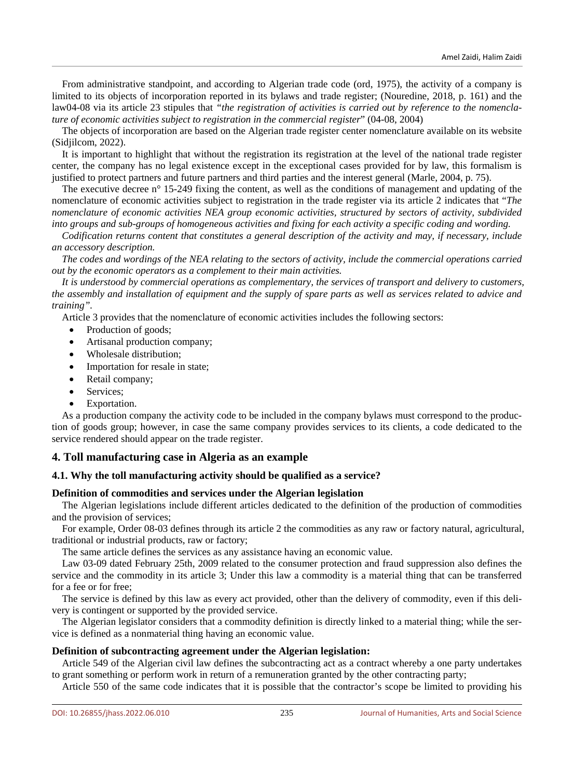From administrative standpoint, and according to Algerian trade code (ord, 1975), the activity of a company is limited to its objects of incorporation reported in its bylaws and trade register; (Nouredine, 2018, p. 161) and the law04-08 via its article 23 stipules that *"the registration of activities is carried out by reference to the nomenclature of economic activities subject to registration in the commercial register*" (04-08, 2004)

The objects of incorporation are based on the Algerian trade register center nomenclature available on its website (Sidjilcom, 2022).

It is important to highlight that without the registration its registration at the level of the national trade register center, the company has no legal existence except in the exceptional cases provided for by law, this formalism is justified to protect partners and future partners and third parties and the interest general (Marle, 2004, p. 75).

The executive decree n° 15-249 fixing the content, as well as the conditions of management and updating of the nomenclature of economic activities subject to registration in the trade register via its article 2 indicates that "*The nomenclature of economic activities NEA group economic activities, structured by sectors of activity, subdivided into groups and sub-groups of homogeneous activities and fixing for each activity a specific coding and wording.*

*Codification returns content that constitutes a general description of the activity and may, if necessary, include an accessory description.*

*The codes and wordings of the NEA relating to the sectors of activity, include the commercial operations carried out by the economic operators as a complement to their main activities.*

*It is understood by commercial operations as complementary, the services of transport and delivery to customers, the assembly and installation of equipment and the supply of spare parts as well as services related to advice and training".* 

Article 3 provides that the nomenclature of economic activities includes the following sectors:

- Production of goods;
- Artisanal production company;
- Wholesale distribution:
- Importation for resale in state;
- Retail company;
- Services;
- Exportation.

As a production company the activity code to be included in the company bylaws must correspond to the production of goods group; however, in case the same company provides services to its clients, a code dedicated to the service rendered should appear on the trade register.

# **4. Toll manufacturing case in Algeria as an example**

## **4.1. Why the toll manufacturing activity should be qualified as a service?**

## **Definition of commodities and services under the Algerian legislation**

The Algerian legislations include different articles dedicated to the definition of the production of commodities and the provision of services;

For example, Order 08-03 defines through its article 2 the commodities as any raw or factory natural, agricultural, traditional or industrial products, raw or factory;

The same article defines the services as any assistance having an economic value.

Law 03-09 dated February 25th, 2009 related to the consumer protection and fraud suppression also defines the service and the commodity in its article 3; Under this law a commodity is a material thing that can be transferred for a fee or for free;

The service is defined by this law as every act provided, other than the delivery of commodity, even if this delivery is contingent or supported by the provided service.

The Algerian legislator considers that a commodity definition is directly linked to a material thing; while the service is defined as a nonmaterial thing having an economic value.

#### **Definition of subcontracting agreement under the Algerian legislation:**

Article 549 of the Algerian civil law defines the subcontracting act as a contract whereby a one party undertakes to grant something or perform work in return of a remuneration granted by the other contracting party;

Article 550 of the same code indicates that it is possible that the contractor's scope be limited to providing his